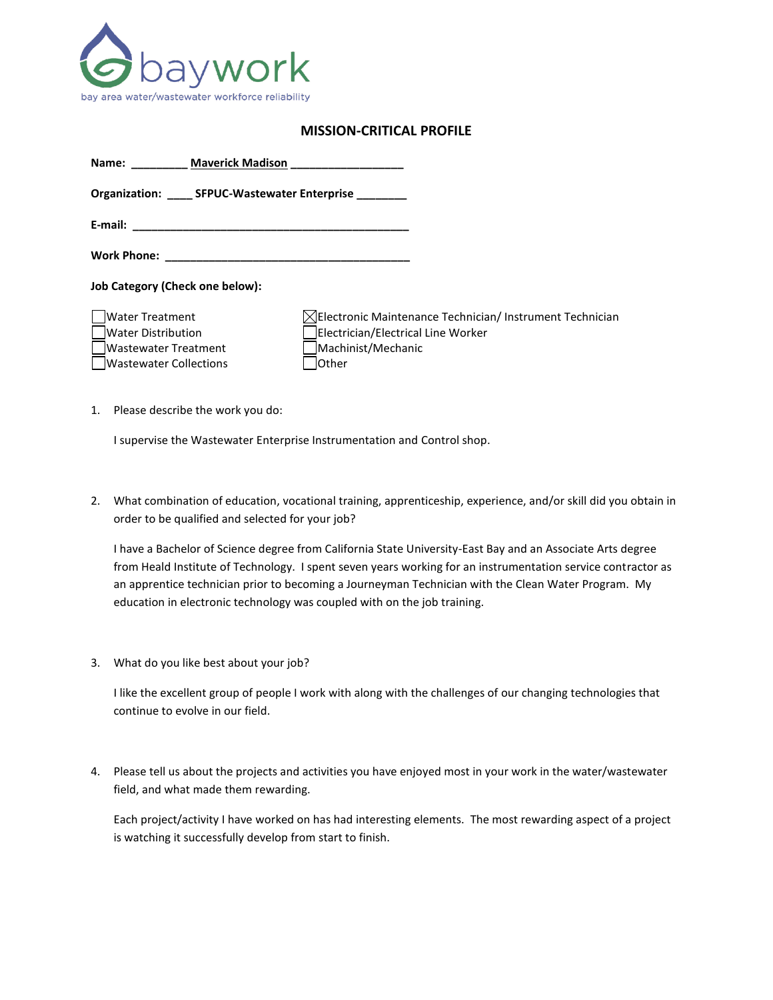

## **MISSION-CRITICAL PROFILE**

| <b>Maverick Madison</b><br>Name: Name                                                          |                                                                                                                                                  |
|------------------------------------------------------------------------------------------------|--------------------------------------------------------------------------------------------------------------------------------------------------|
| Organization: ______ SFPUC-Wastewater Enterprise                                               |                                                                                                                                                  |
|                                                                                                |                                                                                                                                                  |
|                                                                                                |                                                                                                                                                  |
| <b>Job Category (Check one below):</b>                                                         |                                                                                                                                                  |
| Water Treatment<br>Water Distribution<br>Wastewater Treatment<br><b>Wastewater Collections</b> | $\boxtimes$ Electronic Maintenance Technician/ Instrument Technician<br>Electrician/Electrical Line Worker<br>Machinist/Mechanic<br><b>Other</b> |

1. Please describe the work you do:

I supervise the Wastewater Enterprise Instrumentation and Control shop.

2. What combination of education, vocational training, apprenticeship, experience, and/or skill did you obtain in order to be qualified and selected for your job?

I have a Bachelor of Science degree from California State University-East Bay and an Associate Arts degree from Heald Institute of Technology. I spent seven years working for an instrumentation service contractor as an apprentice technician prior to becoming a Journeyman Technician with the Clean Water Program. My education in electronic technology was coupled with on the job training.

3. What do you like best about your job?

I like the excellent group of people I work with along with the challenges of our changing technologies that continue to evolve in our field.

4. Please tell us about the projects and activities you have enjoyed most in your work in the water/wastewater field, and what made them rewarding.

Each project/activity I have worked on has had interesting elements. The most rewarding aspect of a project is watching it successfully develop from start to finish.